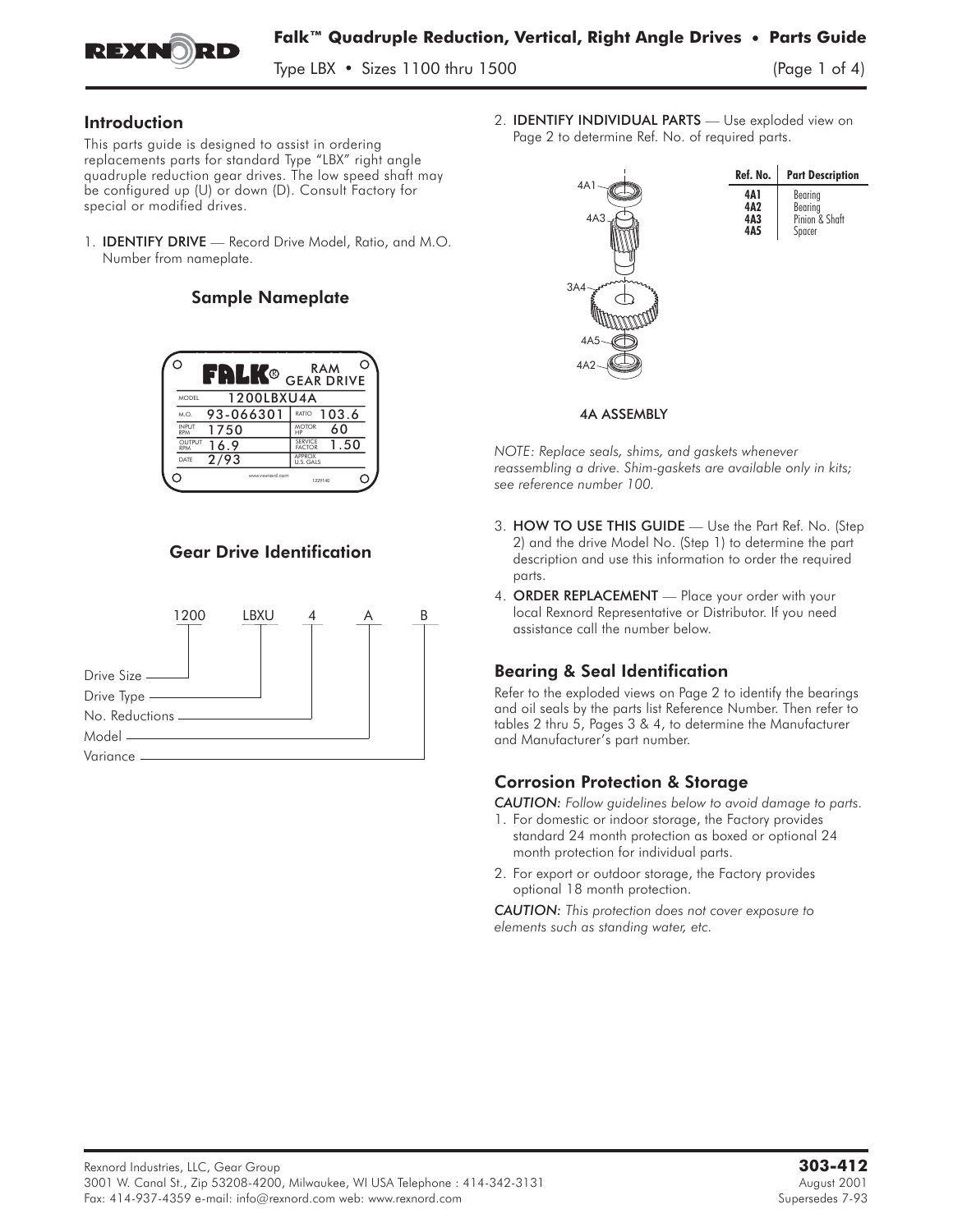

Type LBX  $\cdot$  Sizes 1100 thru 1500

### Introduction

This parts guide is designed to assist in ordering replacements parts for standard Type "LBX" right angle quadruple reduction gear drives. The low speed shaft may be configured up (U) or down (D). Consult Factory for special or modified drives.

1. IDENTIFY DRIVE **—** Record Drive Model, Ratio, and M.O. Number from nameplate.

### Sample Nameplate

| ( )                         | FRLK®           | RAM<br><b>GEAR DRIVE</b>                |
|-----------------------------|-----------------|-----------------------------------------|
| <b>MODEL</b>                | 1200LBXU4A      |                                         |
| M.O.                        | 93-066301       | 103.6<br>RATIO                          |
| <b>INPUT</b><br><b>RPM</b>  | 1750            | <b>MOTOR</b><br>60<br>HP                |
| <b>OUTPUT</b><br><b>RPM</b> | 16.9            | <b>SFRVICE</b><br>1.50<br><b>FACTOR</b> |
| DATF                        | 2/93            | APPROX<br>U.S. GALS                     |
|                             | www.rexnord.com | 1229140                                 |

### Gear Drive Identification



2. IDENTIFY INDIVIDUAL PARTS **—** Use exploded view on Page 2 to determine Ref. No. of required parts.



#### 4A ASSEMBLY

*NOTE: Replace seals, shims, and gaskets whenever reassembling a drive. Shim-gaskets are available only in kits; see reference number 100.*

- 3. HOW TO USE THIS GUIDE **—** Use the Part Ref. No. (Step 2) and the drive Model No. (Step 1) to determine the part description and use this information to order the required parts.
- 4. ORDER REPLACEMENT **—** Place your order with your local Rexnord Representative or Distributor. If you need assistance call the number below.

# Bearing & Seal Identification

Refer to the exploded views on Page 2 to identify the bearings and oil seals by the parts list Reference Number. Then refer to tables 2 thru 5, Pages 3 & 4, to determine the Manufacturer and Manufacturer's part number.

# Corrosion Protection & Storage

*CAUTION: Follow guidelines below to avoid damage to parts.*

- 1. For domestic or indoor storage, the Factory provides standard 24 month protection as boxed or optional 24 month protection for individual parts.
- 2. For export or outdoor storage, the Factory provides optional 18 month protection.

*CAUTION: This protection does not cover exposure to elements such as standing water, etc.*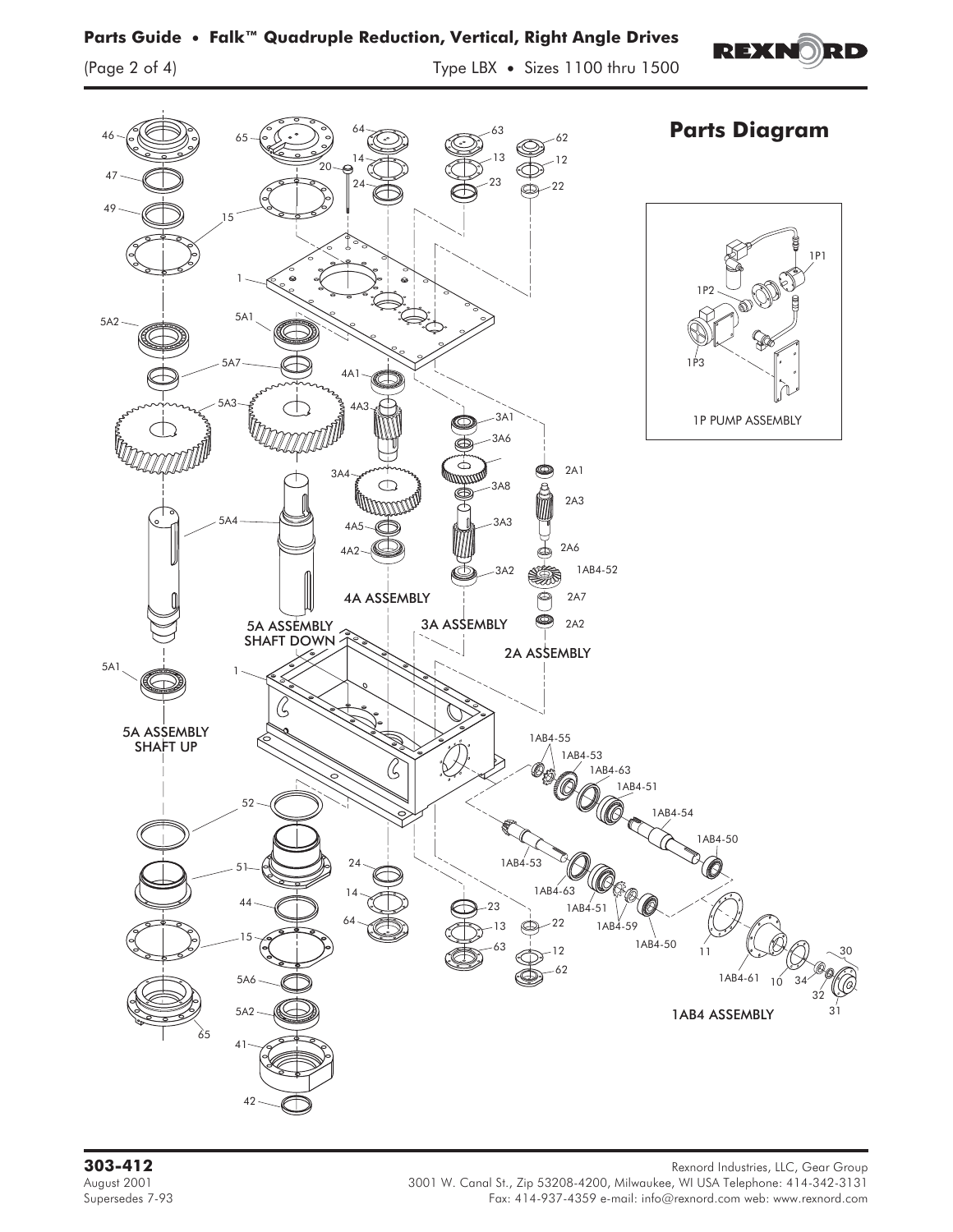

Rexnord Industries, LLC, Gear Group<br>3001 Rexnord Industries, LLC, Gear Group<br>3001 Rexnord Industries, LLC, Gear Group 3001 W. Canal St., Zip 53208-4200, Milwaukee, WI USA Telephone: 414-342 August 2001 3001 W. Canal St., Zip 53208-4200, Milwaukee, WI USA Telephone: 414-342-3131 Fax: 414-937-4359 e-mail: info@rexnord.com web: www.rexnord.com

# **Parts Guide • Falk™ Quadruple Reduction, Vertical, Right Angle Drives**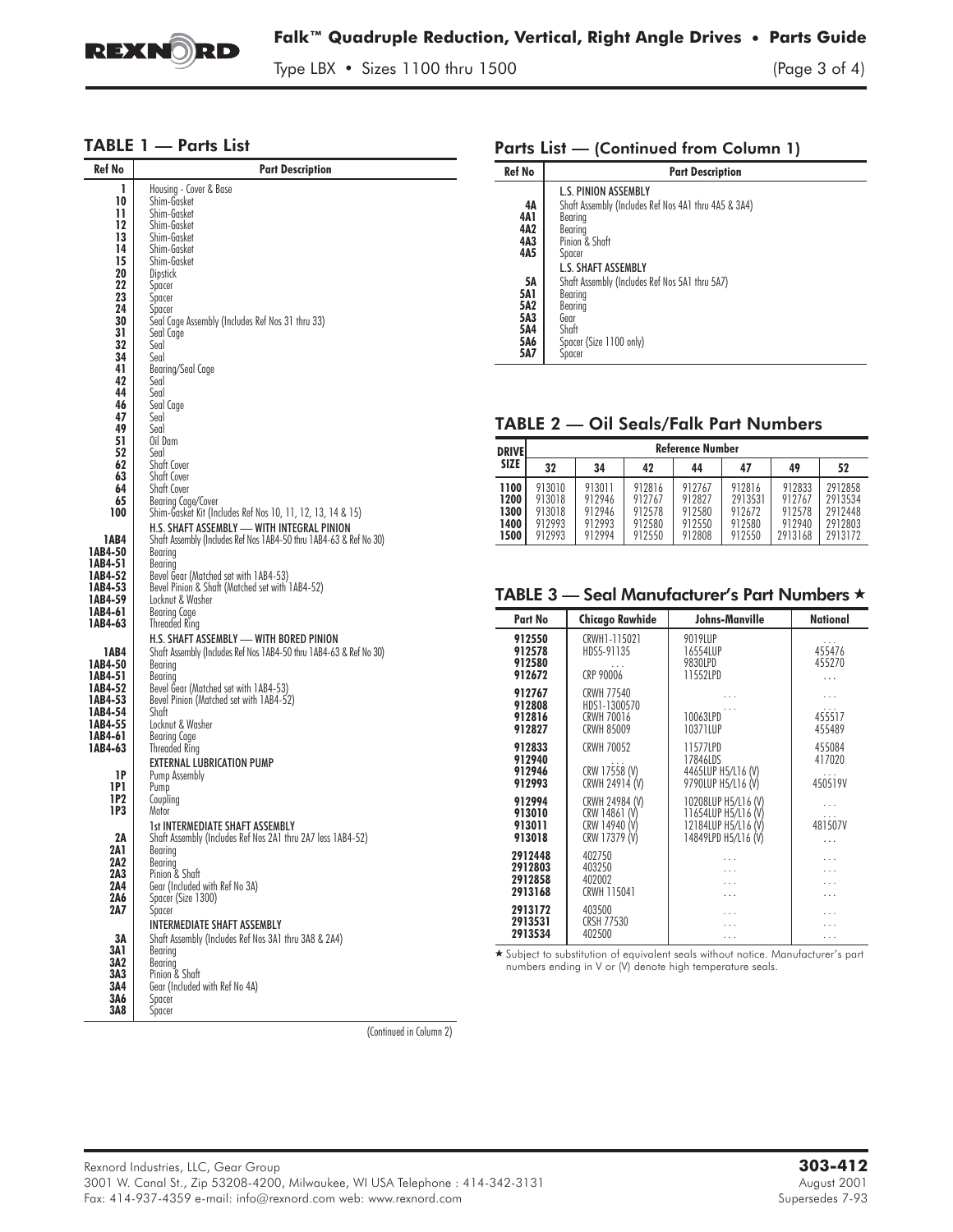

L.

Type LBX • Sizes 1100 thru 1500 (Page 3 of 4)

### TABLE 1 — Parts List

| Ref No             | Part Description                                                                         |  |  |  |  |  |  |
|--------------------|------------------------------------------------------------------------------------------|--|--|--|--|--|--|
| ı                  | Housing - Cover & Base                                                                   |  |  |  |  |  |  |
| 10                 | Shim-Gasket                                                                              |  |  |  |  |  |  |
| 11                 | Shim-Gasket                                                                              |  |  |  |  |  |  |
| 12                 | Shim-Gasket                                                                              |  |  |  |  |  |  |
| 13<br>14           | Shim-Gasket<br>Shim-Gasket                                                               |  |  |  |  |  |  |
| 15                 | Shim-Gasket                                                                              |  |  |  |  |  |  |
| 20                 | <b>Dipstick</b>                                                                          |  |  |  |  |  |  |
| 22                 | Spacer                                                                                   |  |  |  |  |  |  |
| 23                 | Spacer                                                                                   |  |  |  |  |  |  |
| 24                 | Spacer                                                                                   |  |  |  |  |  |  |
| 30                 | Seal Cage Assembly (Includes Ref Nos 31 thru 33)                                         |  |  |  |  |  |  |
| 31<br>32           | Seal Cage<br>Seal                                                                        |  |  |  |  |  |  |
| 34                 | Seal                                                                                     |  |  |  |  |  |  |
| 41                 | Bearing/Seal Cage                                                                        |  |  |  |  |  |  |
| 42                 | Seal                                                                                     |  |  |  |  |  |  |
| 44                 | Seal                                                                                     |  |  |  |  |  |  |
| 46<br>47           | Seal Cage<br>Seal                                                                        |  |  |  |  |  |  |
| 49                 | Seal                                                                                     |  |  |  |  |  |  |
| 51                 | Oil Dam                                                                                  |  |  |  |  |  |  |
| 52                 | Seal                                                                                     |  |  |  |  |  |  |
| 62                 | Shaft Cover                                                                              |  |  |  |  |  |  |
| 63                 | Shaft Cover                                                                              |  |  |  |  |  |  |
| 64<br>65           | Shaft Cover<br>Bearing Cage/Cover                                                        |  |  |  |  |  |  |
| 100                | Shim-Gasket Kit (Includes Ref Nos 10, 11, 12, 13, 14 & 15)                               |  |  |  |  |  |  |
|                    | H.S. SHAFT ASSEMBLY - WITH INTEGRAL PINION                                               |  |  |  |  |  |  |
| 1AB4               | Shaft Assembly (Indudes Ref Nos 1AB4-50 thru 1AB4-63 & Ret No 30)                        |  |  |  |  |  |  |
| 1AB4-50            | Bearing                                                                                  |  |  |  |  |  |  |
| 1AB4-51            | Bearing                                                                                  |  |  |  |  |  |  |
| 1AB4-52<br>1AB4-53 | Bevel Gear (Matched set with 1AB4-53)<br>Bevel Pinion & Shaft (Matched set with 1AB4-52) |  |  |  |  |  |  |
| 1AB4-59            | Locknut & Washer                                                                         |  |  |  |  |  |  |
| 1AB4-61            | <b>Bearing Cage</b>                                                                      |  |  |  |  |  |  |
| 1AB4-63            | Threaded Ring                                                                            |  |  |  |  |  |  |
|                    | H.S. SHAFT ASSEMBLY - WITH BORED PINION                                                  |  |  |  |  |  |  |
| 1AB4               | Shaft Assembly (Includes Ref Nos 1AB4-50 thru 1AB4-63 & Ref No 30)                       |  |  |  |  |  |  |
| 1AB4-50            | Bearing                                                                                  |  |  |  |  |  |  |
| 1AB4-51<br>1AB4-52 | Bearing<br>Bevel Gear (Matched set with 1AB4-53)                                         |  |  |  |  |  |  |
| 1AB4-53            | Bevel Pinion (Matched set with 1AB4-52)                                                  |  |  |  |  |  |  |
| 1AB4-54            | Shaft                                                                                    |  |  |  |  |  |  |
| 1AB4-55            | Locknut & Washer                                                                         |  |  |  |  |  |  |
| 1AB4-61            | Bearing Cage                                                                             |  |  |  |  |  |  |
| 1AB4-63            | <b>Threaded Ring</b>                                                                     |  |  |  |  |  |  |
| 1P                 | EXTERNAL LUBRICATION PUMP<br>Pump Assembly                                               |  |  |  |  |  |  |
| 1P1                | Pump                                                                                     |  |  |  |  |  |  |
| 1P2                | Coupling                                                                                 |  |  |  |  |  |  |
| 1P3                | Motor                                                                                    |  |  |  |  |  |  |
|                    | <b>1st INTERMEDIATE SHAFT ASSEMBLY</b>                                                   |  |  |  |  |  |  |
| 2Α<br>2A 1         | Shaft Assembly (Includes Ref Nos 2A1 thru 2A7 less 1AB4-52)                              |  |  |  |  |  |  |
| 2A2                | Bearing<br>Bearing                                                                       |  |  |  |  |  |  |
| 2A3                | Pinion & Shaft                                                                           |  |  |  |  |  |  |
| 2A4                | Gear (Included with Ref No 3A)                                                           |  |  |  |  |  |  |
| 2A6                | Spacer (Size 1300)                                                                       |  |  |  |  |  |  |
| 2A7                | Spacer                                                                                   |  |  |  |  |  |  |
|                    | <b>INTERMEDIATE SHAFT ASSEMBLY</b>                                                       |  |  |  |  |  |  |
| ЗΑ                 | Shaft Assembly (Includes Ref Nos 3A1 thru 3A8 & 2A4)                                     |  |  |  |  |  |  |
| 3A 1<br>3A2        | Bearing<br>Bearing                                                                       |  |  |  |  |  |  |
| 3A3                | Pinion & Shaft                                                                           |  |  |  |  |  |  |
| 3A4                | Gear (Included with Ref No 4A)                                                           |  |  |  |  |  |  |
| 3A6                | Spacer                                                                                   |  |  |  |  |  |  |
| 3A8                | Spacer                                                                                   |  |  |  |  |  |  |

#### Parts List — (Continued from Column 1)

| Ref No                                       | <b>Part Description</b>                                                                                                                                             |
|----------------------------------------------|---------------------------------------------------------------------------------------------------------------------------------------------------------------------|
| 4Α<br>4A 1<br>4A2<br>4A3<br>4A5              | <b>L.S. PINION ASSEMBLY</b><br>Shaft Assembly (Includes Ref Nos 4A1 thru 4A5 & 3A4)<br>Bearina<br>Bearing<br>Pinion & Shaft<br>Spacer<br><b>L.S. SHAFT ASSEMBLY</b> |
| 5Α<br>5A1<br>5A2<br>5A3<br>5A4<br>5A6<br>5A7 | Shaft Assembly (Includes Ref Nos 5A1 thru 5A7)<br>Bearing<br>Bearing<br>Gear<br>Shaft<br>Spacer (Size 1100 only)<br>Spacer                                          |

#### TABLE 2 — Oil Seals/Falk Part Numbers

| <b>DRIVEI</b>                        | Reference Number                               |                                                |                                                |                                                |                                                 |                                                 |                                                     |  |
|--------------------------------------|------------------------------------------------|------------------------------------------------|------------------------------------------------|------------------------------------------------|-------------------------------------------------|-------------------------------------------------|-----------------------------------------------------|--|
| <b>SIZE</b>                          | 32                                             | 34                                             | 42                                             | 44                                             | 47                                              | 49                                              | 52                                                  |  |
| 1100<br>1200<br>1300<br>1400<br>1500 | 913010<br>913018<br>913018<br>912993<br>912993 | 913011<br>912946<br>912946<br>912993<br>912994 | 912816<br>912767<br>912578<br>912580<br>912550 | 912767<br>912827<br>912580<br>912550<br>912808 | 912816<br>2913531<br>912672<br>912580<br>912550 | 912833<br>912767<br>912578<br>912940<br>2913168 | 2912858<br>2913534<br>2912448<br>2912803<br>2913172 |  |

### TABLE 3 — Seal Manufacturer's Part Numbers *-*

| Part No                                  | <b>Chicago Rawhide</b>                                               | Johns-Manville                                                                           | <b>National</b>             |  |  |  |
|------------------------------------------|----------------------------------------------------------------------|------------------------------------------------------------------------------------------|-----------------------------|--|--|--|
| 912550<br>912578<br>912580<br>912672     | CRWH1-115021<br>HDS5-91135<br>CRP 90006                              | 9019LUP<br>16554LUP<br>9830LPD<br>11552LPD                                               |                             |  |  |  |
| 912767<br>912808<br>912816<br>912827     | <b>CRWH 77540</b><br>HDS1-1300570<br>CRWH 70016<br><b>CRWH 85009</b> | 10063LPD<br>10371LUP                                                                     | .<br>455517<br>455489       |  |  |  |
| 912833<br>912940<br>912946<br>912993     | <b>CRWH 70052</b><br>CRW 17558 (V)<br>CRWH 24914 (V)                 | 11577LPD<br>17846LDS<br>4465LUP H5/L16 (V)<br>9790LUP H5/L16 (V)                         | 455084<br>417020<br>450519V |  |  |  |
| 912994<br>913010<br>913011<br>913018     | CRWH 24984 (V)<br>CRW 14861 (V)<br>CRW 14940 (V)<br>CRW 17379 (V)    | 10208LUP H5/L16 (V)<br>11654LUP H5/L16 (V)<br>12184LUP H5/L16 (V)<br>14849LPD H5/L16 (V) | .<br>481507V<br>.           |  |  |  |
| 2912448<br>2912803<br>2912858<br>2913168 | 402750<br>403250<br>402002<br>CRWH 115041                            |                                                                                          |                             |  |  |  |
| 2913172<br>2913531<br>2913534            | 403500<br><b>CRSH 77530</b><br>402500                                |                                                                                          |                             |  |  |  |

- Subject to substitution of equivalent seals without notice. Manufacturer's part numbers ending in V or (V) denote high temperature seals.

(Continued in Column 2)